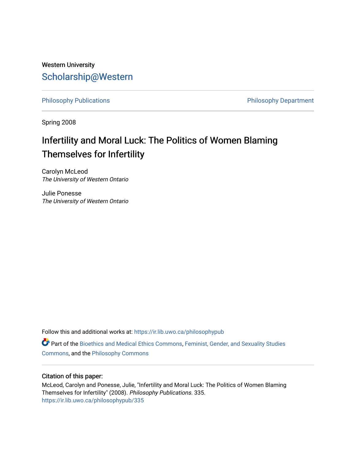# Western University [Scholarship@Western](https://ir.lib.uwo.ca/)

[Philosophy Publications](https://ir.lib.uwo.ca/philosophypub) **Philosophy Publications** Philosophy Department

Spring 2008

# Infertility and Moral Luck: The Politics of Women Blaming Themselves for Infertility

Carolyn McLeod The University of Western Ontario

Julie Ponesse The University of Western Ontario

Follow this and additional works at: [https://ir.lib.uwo.ca/philosophypub](https://ir.lib.uwo.ca/philosophypub?utm_source=ir.lib.uwo.ca%2Fphilosophypub%2F335&utm_medium=PDF&utm_campaign=PDFCoverPages)

Part of the [Bioethics and Medical Ethics Commons,](http://network.bepress.com/hgg/discipline/650?utm_source=ir.lib.uwo.ca%2Fphilosophypub%2F335&utm_medium=PDF&utm_campaign=PDFCoverPages) [Feminist, Gender, and Sexuality Studies](http://network.bepress.com/hgg/discipline/559?utm_source=ir.lib.uwo.ca%2Fphilosophypub%2F335&utm_medium=PDF&utm_campaign=PDFCoverPages) [Commons](http://network.bepress.com/hgg/discipline/559?utm_source=ir.lib.uwo.ca%2Fphilosophypub%2F335&utm_medium=PDF&utm_campaign=PDFCoverPages), and the [Philosophy Commons](http://network.bepress.com/hgg/discipline/525?utm_source=ir.lib.uwo.ca%2Fphilosophypub%2F335&utm_medium=PDF&utm_campaign=PDFCoverPages) 

# Citation of this paper:

McLeod, Carolyn and Ponesse, Julie, "Infertility and Moral Luck: The Politics of Women Blaming Themselves for Infertility" (2008). Philosophy Publications. 335. [https://ir.lib.uwo.ca/philosophypub/335](https://ir.lib.uwo.ca/philosophypub/335?utm_source=ir.lib.uwo.ca%2Fphilosophypub%2F335&utm_medium=PDF&utm_campaign=PDFCoverPages)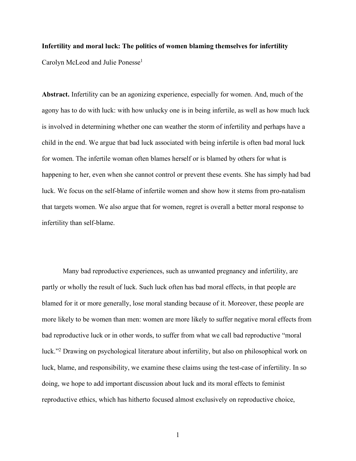# **Infertility and moral luck: The politics of women blaming themselves for infertility**

Carolyn McLeod and Julie Ponesse<sup>1</sup>

**Abstract.** Infertility can be an agonizing experience, especially for women. And, much of the agony has to do with luck: with how unlucky one is in being infertile, as well as how much luck is involved in determining whether one can weather the storm of infertility and perhaps have a child in the end. We argue that bad luck associated with being infertile is often bad moral luck for women. The infertile woman often blames herself or is blamed by others for what is happening to her, even when she cannot control or prevent these events. She has simply had bad luck. We focus on the self-blame of infertile women and show how it stems from pro-natalism that targets women. We also argue that for women, regret is overall a better moral response to infertility than self-blame.

Many bad reproductive experiences, such as unwanted pregnancy and infertility, are partly or wholly the result of luck. Such luck often has bad moral effects, in that people are blamed for it or more generally, lose moral standing because of it. Moreover, these people are more likely to be women than men: women are more likely to suffer negative moral effects from bad reproductive luck or in other words, to suffer from what we call bad reproductive "moral luck."2 Drawing on psychological literature about infertility, but also on philosophical work on luck, blame, and responsibility, we examine these claims using the test-case of infertility. In so doing, we hope to add important discussion about luck and its moral effects to feminist reproductive ethics, which has hitherto focused almost exclusively on reproductive choice,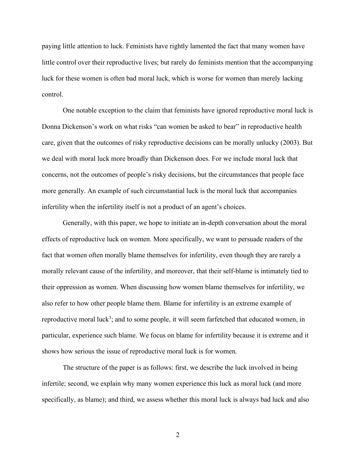paying little attention to luck. Feminists have rightly lamented the fact that many women have little control over their reproductive lives; but rarely do feminists mention that the accompanying luck for these women is often bad moral luck, which is worse for women than merely lacking control.

One notable exception to the claim that feminists have ignored reproductive moral luck is Donna Dickenson's work on what risks "can women be asked to bear" in reproductive health care, given that the outcomes of risky reproductive decisions can be morally unlucky (2003). But we deal with moral luck more broadly than Dickenson does. For we include moral luck that concerns, not the outcomes of people's risky decisions, but the circumstances that people face more generally. An example of such circumstantial luck is the moral luck that accompanies infertility when the infertility itself is not a product of an agent's choices.

Generally, with this paper, we hope to initiate an in-depth conversation about the moral effects of reproductive luck on women. More specifically, we want to persuade readers of the fact that women often morally blame themselves for infertility, even though they are rarely a morally relevant cause of the infertility, and moreover, that their self-blame is intimately tied to their oppression as women. When discussing how women blame themselves for infertility, we also refer to how other people blame them. Blame for infertility is an extreme example of reproductive moral luck<sup>3</sup>; and to some people, it will seem farfetched that educated women, in particular, experience such blame. We focus on blame for infertility because it is extreme and it shows how serious the issue of reproductive moral luck is for women.

The structure of the paper is as follows: first, we describe the luck involved in being infertile; second, we explain why many women experience this luck as moral luck (and more specifically, as blame); and third, we assess whether this moral luck is always bad luck and also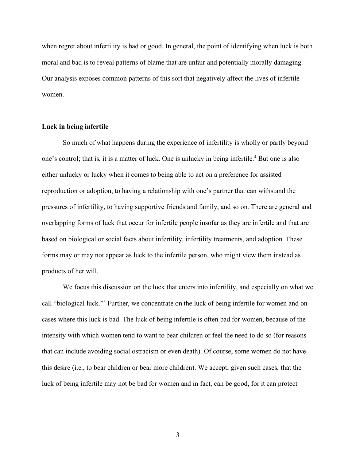when regret about infertility is bad or good. In general, the point of identifying when luck is both moral and bad is to reveal patterns of blame that are unfair and potentially morally damaging. Our analysis exposes common patterns of this sort that negatively affect the lives of infertile women.

# **Luck in being infertile**

So much of what happens during the experience of infertility is wholly or partly beyond one's control; that is, it is a matter of luck. One is unlucky in being infertile.<sup>4</sup> But one is also either unlucky or lucky when it comes to being able to act on a preference for assisted reproduction or adoption, to having a relationship with one's partner that can withstand the pressures of infertility, to having supportive friends and family, and so on. There are general and overlapping forms of luck that occur for infertile people insofar as they are infertile and that are based on biological or social facts about infertility, infertility treatments, and adoption. These forms may or may not appear as luck to the infertile person, who might view them instead as products of her will.

We focus this discussion on the luck that enters into infertility, and especially on what we call "biological luck."5 Further, we concentrate on the luck of being infertile for women and on cases where this luck is bad. The luck of being infertile is often bad for women, because of the intensity with which women tend to want to bear children or feel the need to do so (for reasons that can include avoiding social ostracism or even death). Of course, some women do not have this desire (i.e., to bear children or bear more children). We accept, given such cases, that the luck of being infertile may not be bad for women and in fact, can be good, for it can protect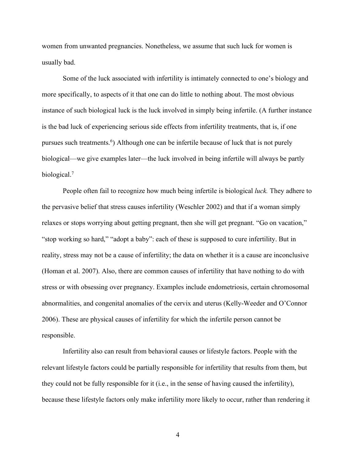women from unwanted pregnancies. Nonetheless, we assume that such luck for women is usually bad.

Some of the luck associated with infertility is intimately connected to one's biology and more specifically, to aspects of it that one can do little to nothing about. The most obvious instance of such biological luck is the luck involved in simply being infertile. (A further instance is the bad luck of experiencing serious side effects from infertility treatments, that is, if one pursues such treatments.<sup>6</sup>) Although one can be infertile because of luck that is not purely biological—we give examples later—the luck involved in being infertile will always be partly biological.<sup>7</sup>

People often fail to recognize how much being infertile is biological *luck.* They adhere to the pervasive belief that stress causes infertility (Weschler 2002) and that if a woman simply relaxes or stops worrying about getting pregnant, then she will get pregnant. "Go on vacation," "stop working so hard," "adopt a baby": each of these is supposed to cure infertility. But in reality, stress may not be a cause of infertility; the data on whether it is a cause are inconclusive (Homan et al. 2007). Also, there are common causes of infertility that have nothing to do with stress or with obsessing over pregnancy. Examples include endometriosis, certain chromosomal abnormalities, and congenital anomalies of the cervix and uterus (Kelly-Weeder and O'Connor 2006). These are physical causes of infertility for which the infertile person cannot be responsible.

Infertility also can result from behavioral causes or lifestyle factors. People with the relevant lifestyle factors could be partially responsible for infertility that results from them, but they could not be fully responsible for it (i.e., in the sense of having caused the infertility), because these lifestyle factors only make infertility more likely to occur, rather than rendering it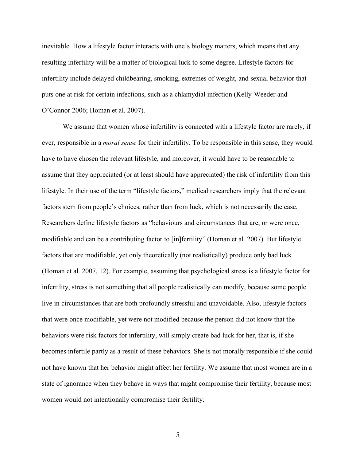inevitable. How a lifestyle factor interacts with one's biology matters, which means that any resulting infertility will be a matter of biological luck to some degree. Lifestyle factors for infertility include delayed childbearing, smoking, extremes of weight, and sexual behavior that puts one at risk for certain infections, such as a chlamydial infection (Kelly-Weeder and O'Connor 2006; Homan et al. 2007).

We assume that women whose infertility is connected with a lifestyle factor are rarely, if ever, responsible in a *moral sense* for their infertility. To be responsible in this sense, they would have to have chosen the relevant lifestyle, and moreover, it would have to be reasonable to assume that they appreciated (or at least should have appreciated) the risk of infertility from this lifestyle. In their use of the term "lifestyle factors," medical researchers imply that the relevant factors stem from people's choices, rather than from luck, which is not necessarily the case. Researchers define lifestyle factors as "behaviours and circumstances that are, or were once, modifiable and can be a contributing factor to [in]fertility" (Homan et al. 2007). But lifestyle factors that are modifiable, yet only theoretically (not realistically) produce only bad luck (Homan et al. 2007, 12). For example, assuming that psychological stress is a lifestyle factor for infertility, stress is not something that all people realistically can modify, because some people live in circumstances that are both profoundly stressful and unavoidable. Also, lifestyle factors that were once modifiable, yet were not modified because the person did not know that the behaviors were risk factors for infertility, will simply create bad luck for her, that is, if she becomes infertile partly as a result of these behaviors. She is not morally responsible if she could not have known that her behavior might affect her fertility. We assume that most women are in a state of ignorance when they behave in ways that might compromise their fertility, because most women would not intentionally compromise their fertility.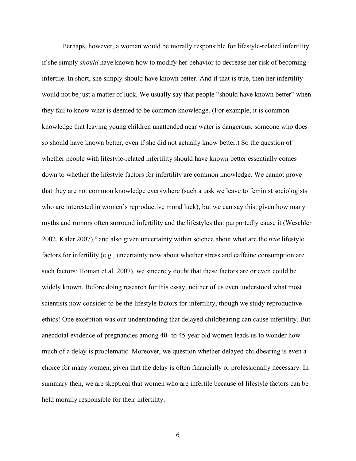Perhaps, however, a woman would be morally responsible for lifestyle-related infertility if she simply *should* have known how to modify her behavior to decrease her risk of becoming infertile. In short, she simply should have known better. And if that is true, then her infertility would not be just a matter of luck. We usually say that people "should have known better" when they fail to know what is deemed to be common knowledge. (For example, it is common knowledge that leaving young children unattended near water is dangerous; someone who does so should have known better, even if she did not actually know better.) So the question of whether people with lifestyle-related infertility should have known better essentially comes down to whether the lifestyle factors for infertility are common knowledge. We cannot prove that they are not common knowledge everywhere (such a task we leave to feminist sociologists who are interested in women's reproductive moral luck), but we can say this: given how many myths and rumors often surround infertility and the lifestyles that purportedly cause it (Weschler 2002, Kaler 2007),8 and also given uncertainty within science about what are the *true* lifestyle factors for infertility (e.g., uncertainty now about whether stress and caffeine consumption are such factors: Homan et al. 2007), we sincerely doubt that these factors are or even could be widely known. Before doing research for this essay, neither of us even understood what most scientists now consider to be the lifestyle factors for infertility, though we study reproductive ethics! One exception was our understanding that delayed childbearing can cause infertility. But anecdotal evidence of pregnancies among 40- to 45-year old women leads us to wonder how much of a delay is problematic. Moreover, we question whether delayed childbearing is even a choice for many women, given that the delay is often financially or professionally necessary. In summary then, we are skeptical that women who are infertile because of lifestyle factors can be held morally responsible for their infertility.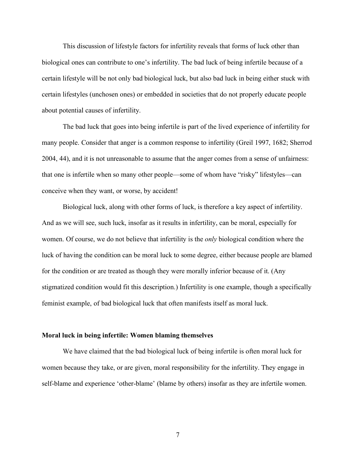This discussion of lifestyle factors for infertility reveals that forms of luck other than biological ones can contribute to one's infertility. The bad luck of being infertile because of a certain lifestyle will be not only bad biological luck, but also bad luck in being either stuck with certain lifestyles (unchosen ones) or embedded in societies that do not properly educate people about potential causes of infertility.

The bad luck that goes into being infertile is part of the lived experience of infertility for many people. Consider that anger is a common response to infertility (Greil 1997, 1682; Sherrod 2004, 44), and it is not unreasonable to assume that the anger comes from a sense of unfairness: that one is infertile when so many other people—some of whom have "risky" lifestyles—can conceive when they want, or worse, by accident!

Biological luck, along with other forms of luck, is therefore a key aspect of infertility. And as we will see, such luck, insofar as it results in infertility, can be moral, especially for women. Of course, we do not believe that infertility is the *only* biological condition where the luck of having the condition can be moral luck to some degree, either because people are blamed for the condition or are treated as though they were morally inferior because of it. (Any stigmatized condition would fit this description.) Infertility is one example, though a specifically feminist example, of bad biological luck that often manifests itself as moral luck.

#### **Moral luck in being infertile: Women blaming themselves**

We have claimed that the bad biological luck of being infertile is often moral luck for women because they take, or are given, moral responsibility for the infertility. They engage in self-blame and experience 'other-blame' (blame by others) insofar as they are infertile women.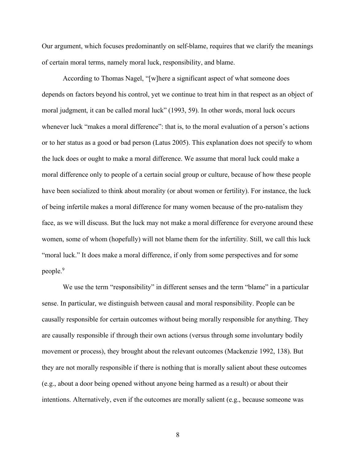Our argument, which focuses predominantly on self-blame, requires that we clarify the meanings of certain moral terms, namely moral luck, responsibility, and blame.

According to Thomas Nagel, "[w]here a significant aspect of what someone does depends on factors beyond his control, yet we continue to treat him in that respect as an object of moral judgment, it can be called moral luck" (1993, 59). In other words, moral luck occurs whenever luck "makes a moral difference": that is, to the moral evaluation of a person's actions or to her status as a good or bad person (Latus 2005). This explanation does not specify to whom the luck does or ought to make a moral difference. We assume that moral luck could make a moral difference only to people of a certain social group or culture, because of how these people have been socialized to think about morality (or about women or fertility). For instance, the luck of being infertile makes a moral difference for many women because of the pro-natalism they face, as we will discuss. But the luck may not make a moral difference for everyone around these women, some of whom (hopefully) will not blame them for the infertility. Still, we call this luck "moral luck." It does make a moral difference, if only from some perspectives and for some people.9

We use the term "responsibility" in different senses and the term "blame" in a particular sense. In particular, we distinguish between causal and moral responsibility. People can be causally responsible for certain outcomes without being morally responsible for anything. They are causally responsible if through their own actions (versus through some involuntary bodily movement or process), they brought about the relevant outcomes (Mackenzie 1992, 138). But they are not morally responsible if there is nothing that is morally salient about these outcomes (e.g., about a door being opened without anyone being harmed as a result) or about their intentions. Alternatively, even if the outcomes are morally salient (e.g., because someone was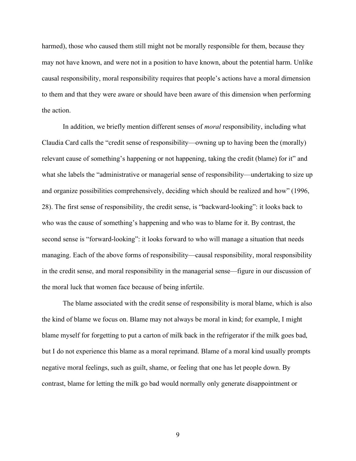harmed), those who caused them still might not be morally responsible for them, because they may not have known, and were not in a position to have known, about the potential harm. Unlike causal responsibility, moral responsibility requires that people's actions have a moral dimension to them and that they were aware or should have been aware of this dimension when performing the action.

In addition, we briefly mention different senses of *moral* responsibility, including what Claudia Card calls the "credit sense of responsibility—owning up to having been the (morally) relevant cause of something's happening or not happening, taking the credit (blame) for it" and what she labels the "administrative or managerial sense of responsibility—undertaking to size up and organize possibilities comprehensively, deciding which should be realized and how" (1996, 28). The first sense of responsibility, the credit sense, is "backward-looking": it looks back to who was the cause of something's happening and who was to blame for it. By contrast, the second sense is "forward-looking": it looks forward to who will manage a situation that needs managing. Each of the above forms of responsibility—causal responsibility, moral responsibility in the credit sense, and moral responsibility in the managerial sense—figure in our discussion of the moral luck that women face because of being infertile.

The blame associated with the credit sense of responsibility is moral blame, which is also the kind of blame we focus on. Blame may not always be moral in kind; for example, I might blame myself for forgetting to put a carton of milk back in the refrigerator if the milk goes bad, but I do not experience this blame as a moral reprimand. Blame of a moral kind usually prompts negative moral feelings, such as guilt, shame, or feeling that one has let people down. By contrast, blame for letting the milk go bad would normally only generate disappointment or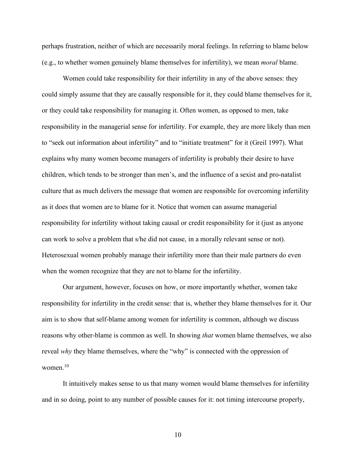perhaps frustration, neither of which are necessarily moral feelings. In referring to blame below (e.g., to whether women genuinely blame themselves for infertility), we mean *moral* blame.

Women could take responsibility for their infertility in any of the above senses: they could simply assume that they are causally responsible for it, they could blame themselves for it, or they could take responsibility for managing it. Often women, as opposed to men, take responsibility in the managerial sense for infertility. For example, they are more likely than men to "seek out information about infertility" and to "initiate treatment" for it (Greil 1997). What explains why many women become managers of infertility is probably their desire to have children, which tends to be stronger than men's, and the influence of a sexist and pro-natalist culture that as much delivers the message that women are responsible for overcoming infertility as it does that women are to blame for it. Notice that women can assume managerial responsibility for infertility without taking causal or credit responsibility for it (just as anyone can work to solve a problem that s/he did not cause, in a morally relevant sense or not). Heterosexual women probably manage their infertility more than their male partners do even when the women recognize that they are not to blame for the infertility.

Our argument, however, focuses on how, or more importantly whether, women take responsibility for infertility in the credit sense: that is, whether they blame themselves for it. Our aim is to show that self-blame among women for infertility is common, although we discuss reasons why other-blame is common as well. In showing *that* women blame themselves, we also reveal *why* they blame themselves, where the "why" is connected with the oppression of women $10$ 

It intuitively makes sense to us that many women would blame themselves for infertility and in so doing, point to any number of possible causes for it: not timing intercourse properly,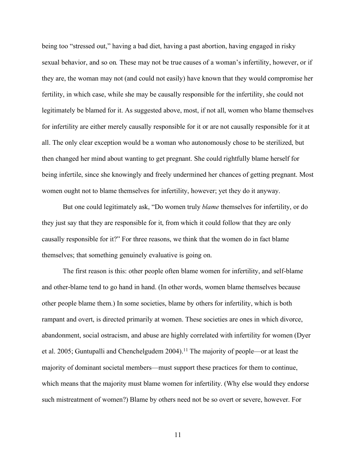being too "stressed out," having a bad diet, having a past abortion, having engaged in risky sexual behavior, and so on*.* These may not be true causes of a woman's infertility, however, or if they are, the woman may not (and could not easily) have known that they would compromise her fertility, in which case, while she may be causally responsible for the infertility, she could not legitimately be blamed for it. As suggested above, most, if not all, women who blame themselves for infertility are either merely causally responsible for it or are not causally responsible for it at all. The only clear exception would be a woman who autonomously chose to be sterilized, but then changed her mind about wanting to get pregnant. She could rightfully blame herself for being infertile, since she knowingly and freely undermined her chances of getting pregnant. Most women ought not to blame themselves for infertility, however; yet they do it anyway.

But one could legitimately ask, "Do women truly *blame* themselves for infertility, or do they just say that they are responsible for it, from which it could follow that they are only causally responsible for it?" For three reasons, we think that the women do in fact blame themselves; that something genuinely evaluative is going on.

The first reason is this: other people often blame women for infertility, and self-blame and other-blame tend to go hand in hand. (In other words, women blame themselves because other people blame them.) In some societies, blame by others for infertility, which is both rampant and overt, is directed primarily at women. These societies are ones in which divorce, abandonment, social ostracism, and abuse are highly correlated with infertility for women (Dyer et al. 2005; Guntupalli and Chenchelgudem 2004).<sup>11</sup> The majority of people—or at least the majority of dominant societal members—must support these practices for them to continue, which means that the majority must blame women for infertility. (Why else would they endorse such mistreatment of women?) Blame by others need not be so overt or severe, however. For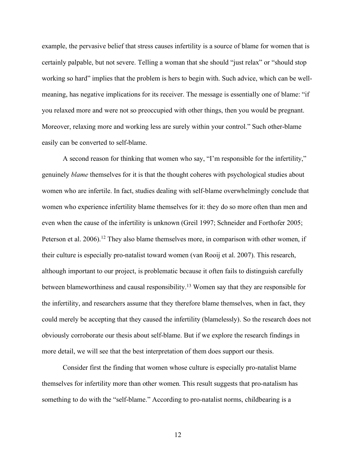example, the pervasive belief that stress causes infertility is a source of blame for women that is certainly palpable, but not severe. Telling a woman that she should "just relax" or "should stop working so hard" implies that the problem is hers to begin with. Such advice, which can be wellmeaning, has negative implications for its receiver. The message is essentially one of blame: "if you relaxed more and were not so preoccupied with other things, then you would be pregnant. Moreover, relaxing more and working less are surely within your control." Such other-blame easily can be converted to self-blame.

A second reason for thinking that women who say, "I'm responsible for the infertility," genuinely *blame* themselves for it is that the thought coheres with psychological studies about women who are infertile. In fact, studies dealing with self-blame overwhelmingly conclude that women who experience infertility blame themselves for it: they do so more often than men and even when the cause of the infertility is unknown (Greil 1997; Schneider and Forthofer 2005; Peterson et al. 2006).<sup>12</sup> They also blame themselves more, in comparison with other women, if their culture is especially pro-natalist toward women (van Rooij et al. 2007). This research, although important to our project, is problematic because it often fails to distinguish carefully between blameworthiness and causal responsibility.13 Women say that they are responsible for the infertility, and researchers assume that they therefore blame themselves, when in fact, they could merely be accepting that they caused the infertility (blamelessly). So the research does not obviously corroborate our thesis about self-blame. But if we explore the research findings in more detail, we will see that the best interpretation of them does support our thesis.

Consider first the finding that women whose culture is especially pro-natalist blame themselves for infertility more than other women. This result suggests that pro-natalism has something to do with the "self-blame." According to pro-natalist norms, childbearing is a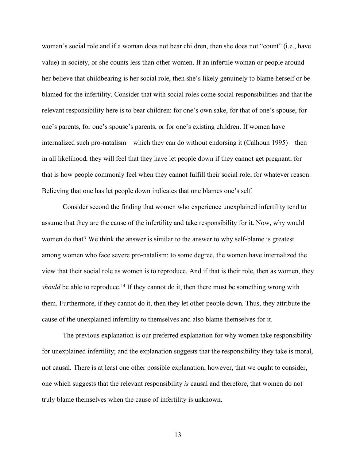woman's social role and if a woman does not bear children, then she does not "count" (i.e., have value) in society, or she counts less than other women. If an infertile woman or people around her believe that childbearing is her social role, then she's likely genuinely to blame herself or be blamed for the infertility. Consider that with social roles come social responsibilities and that the relevant responsibility here is to bear children: for one's own sake, for that of one's spouse, for one's parents, for one's spouse's parents, or for one's existing children. If women have internalized such pro-natalism—which they can do without endorsing it (Calhoun 1995)—then in all likelihood, they will feel that they have let people down if they cannot get pregnant; for that is how people commonly feel when they cannot fulfill their social role, for whatever reason. Believing that one has let people down indicates that one blames one's self.

Consider second the finding that women who experience unexplained infertility tend to assume that they are the cause of the infertility and take responsibility for it. Now, why would women do that? We think the answer is similar to the answer to why self-blame is greatest among women who face severe pro-natalism: to some degree, the women have internalized the view that their social role as women is to reproduce. And if that is their role, then as women, they *should* be able to reproduce.<sup>14</sup> If they cannot do it, then there must be something wrong with them. Furthermore, if they cannot do it, then they let other people down. Thus, they attribute the cause of the unexplained infertility to themselves and also blame themselves for it.

The previous explanation is our preferred explanation for why women take responsibility for unexplained infertility; and the explanation suggests that the responsibility they take is moral, not causal. There is at least one other possible explanation, however, that we ought to consider, one which suggests that the relevant responsibility *is* causal and therefore, that women do not truly blame themselves when the cause of infertility is unknown.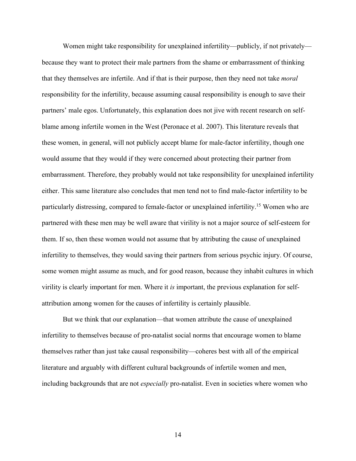Women might take responsibility for unexplained infertility—publicly, if not privately because they want to protect their male partners from the shame or embarrassment of thinking that they themselves are infertile. And if that is their purpose, then they need not take *moral* responsibility for the infertility, because assuming causal responsibility is enough to save their partners' male egos. Unfortunately, this explanation does not jive with recent research on selfblame among infertile women in the West (Peronace et al. 2007). This literature reveals that these women, in general, will not publicly accept blame for male-factor infertility, though one would assume that they would if they were concerned about protecting their partner from embarrassment. Therefore, they probably would not take responsibility for unexplained infertility either. This same literature also concludes that men tend not to find male-factor infertility to be particularly distressing, compared to female-factor or unexplained infertility.15 Women who are partnered with these men may be well aware that virility is not a major source of self-esteem for them. If so, then these women would not assume that by attributing the cause of unexplained infertility to themselves, they would saving their partners from serious psychic injury. Of course, some women might assume as much, and for good reason, because they inhabit cultures in which virility is clearly important for men. Where it *is* important, the previous explanation for selfattribution among women for the causes of infertility is certainly plausible.

But we think that our explanation—that women attribute the cause of unexplained infertility to themselves because of pro-natalist social norms that encourage women to blame themselves rather than just take causal responsibility—coheres best with all of the empirical literature and arguably with different cultural backgrounds of infertile women and men, including backgrounds that are not *especially* pro-natalist. Even in societies where women who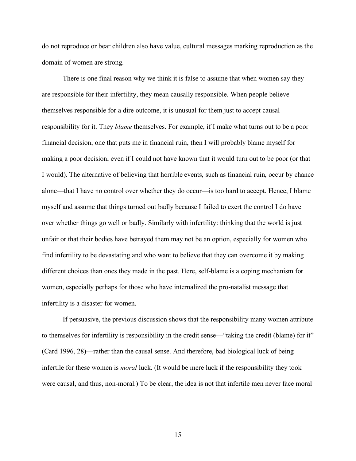do not reproduce or bear children also have value, cultural messages marking reproduction as the domain of women are strong.

There is one final reason why we think it is false to assume that when women say they are responsible for their infertility, they mean causally responsible. When people believe themselves responsible for a dire outcome, it is unusual for them just to accept causal responsibility for it. They *blame* themselves. For example, if I make what turns out to be a poor financial decision, one that puts me in financial ruin, then I will probably blame myself for making a poor decision, even if I could not have known that it would turn out to be poor (or that I would). The alternative of believing that horrible events, such as financial ruin, occur by chance alone—that I have no control over whether they do occur—is too hard to accept. Hence, I blame myself and assume that things turned out badly because I failed to exert the control I do have over whether things go well or badly. Similarly with infertility: thinking that the world is just unfair or that their bodies have betrayed them may not be an option, especially for women who find infertility to be devastating and who want to believe that they can overcome it by making different choices than ones they made in the past. Here, self-blame is a coping mechanism for women, especially perhaps for those who have internalized the pro-natalist message that infertility is a disaster for women.

If persuasive, the previous discussion shows that the responsibility many women attribute to themselves for infertility is responsibility in the credit sense—"taking the credit (blame) for it" (Card 1996, 28)—rather than the causal sense. And therefore, bad biological luck of being infertile for these women is *moral* luck. (It would be mere luck if the responsibility they took were causal, and thus, non-moral.) To be clear, the idea is not that infertile men never face moral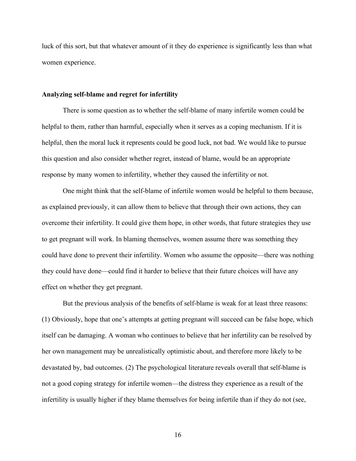luck of this sort, but that whatever amount of it they do experience is significantly less than what women experience.

#### **Analyzing self-blame and regret for infertility**

There is some question as to whether the self-blame of many infertile women could be helpful to them, rather than harmful, especially when it serves as a coping mechanism. If it is helpful, then the moral luck it represents could be good luck, not bad. We would like to pursue this question and also consider whether regret, instead of blame, would be an appropriate response by many women to infertility, whether they caused the infertility or not.

One might think that the self-blame of infertile women would be helpful to them because, as explained previously, it can allow them to believe that through their own actions, they can overcome their infertility. It could give them hope, in other words, that future strategies they use to get pregnant will work. In blaming themselves, women assume there was something they could have done to prevent their infertility. Women who assume the opposite—there was nothing they could have done—could find it harder to believe that their future choices will have any effect on whether they get pregnant.

But the previous analysis of the benefits of self-blame is weak for at least three reasons: (1) Obviously, hope that one's attempts at getting pregnant will succeed can be false hope, which itself can be damaging. A woman who continues to believe that her infertility can be resolved by her own management may be unrealistically optimistic about, and therefore more likely to be devastated by, bad outcomes. (2) The psychological literature reveals overall that self-blame is not a good coping strategy for infertile women—the distress they experience as a result of the infertility is usually higher if they blame themselves for being infertile than if they do not (see,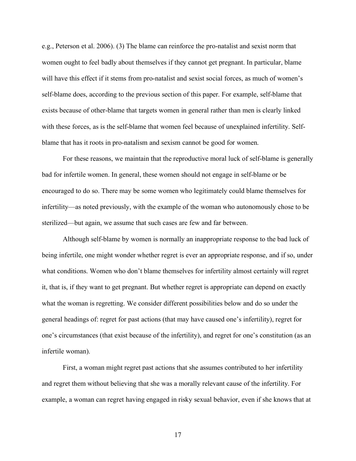e.g., Peterson et al. 2006). (3) The blame can reinforce the pro-natalist and sexist norm that women ought to feel badly about themselves if they cannot get pregnant. In particular, blame will have this effect if it stems from pro-natalist and sexist social forces, as much of women's self-blame does, according to the previous section of this paper. For example, self-blame that exists because of other-blame that targets women in general rather than men is clearly linked with these forces, as is the self-blame that women feel because of unexplained infertility. Selfblame that has it roots in pro-natalism and sexism cannot be good for women.

For these reasons, we maintain that the reproductive moral luck of self-blame is generally bad for infertile women. In general, these women should not engage in self-blame or be encouraged to do so. There may be some women who legitimately could blame themselves for infertility—as noted previously, with the example of the woman who autonomously chose to be sterilized—but again, we assume that such cases are few and far between.

Although self-blame by women is normally an inappropriate response to the bad luck of being infertile, one might wonder whether regret is ever an appropriate response, and if so, under what conditions. Women who don't blame themselves for infertility almost certainly will regret it, that is, if they want to get pregnant. But whether regret is appropriate can depend on exactly what the woman is regretting. We consider different possibilities below and do so under the general headings of: regret for past actions (that may have caused one's infertility), regret for one's circumstances (that exist because of the infertility), and regret for one's constitution (as an infertile woman).

First, a woman might regret past actions that she assumes contributed to her infertility and regret them without believing that she was a morally relevant cause of the infertility. For example, a woman can regret having engaged in risky sexual behavior, even if she knows that at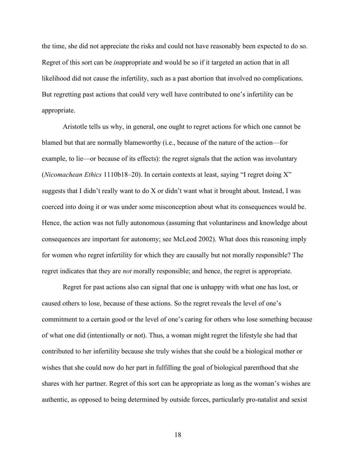the time, she did not appreciate the risks and could not have reasonably been expected to do so. Regret of this sort can be *in*appropriate and would be so if it targeted an action that in all likelihood did not cause the infertility, such as a past abortion that involved no complications. But regretting past actions that could very well have contributed to one's infertility can be appropriate.

Aristotle tells us why, in general, one ought to regret actions for which one cannot be blamed but that are normally blameworthy (i.e., because of the nature of the action—for example, to lie—or because of its effects): the regret signals that the action was involuntary (*Nicomachean Ethics* 1110b18–20). In certain contexts at least, saying "I regret doing X" suggests that I didn't really want to do X or didn't want what it brought about. Instead, I was coerced into doing it or was under some misconception about what its consequences would be. Hence, the action was not fully autonomous (assuming that voluntariness and knowledge about consequences are important for autonomy; see McLeod 2002). What does this reasoning imply for women who regret infertility for which they are causally but not morally responsible? The regret indicates that they are *not* morally responsible; and hence, the regret is appropriate.

Regret for past actions also can signal that one is unhappy with what one has lost, or caused others to lose, because of these actions. So the regret reveals the level of one's commitment to a certain good or the level of one's caring for others who lose something because of what one did (intentionally or not). Thus, a woman might regret the lifestyle she had that contributed to her infertility because she truly wishes that she could be a biological mother or wishes that she could now do her part in fulfilling the goal of biological parenthood that she shares with her partner. Regret of this sort can be appropriate as long as the woman's wishes are authentic, as opposed to being determined by outside forces, particularly pro-natalist and sexist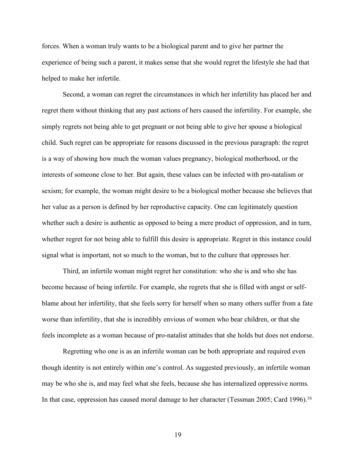forces. When a woman truly wants to be a biological parent and to give her partner the experience of being such a parent, it makes sense that she would regret the lifestyle she had that helped to make her infertile.

Second, a woman can regret the circumstances in which her infertility has placed her and regret them without thinking that any past actions of hers caused the infertility. For example, she simply regrets not being able to get pregnant or not being able to give her spouse a biological child. Such regret can be appropriate for reasons discussed in the previous paragraph: the regret is a way of showing how much the woman values pregnancy, biological motherhood, or the interests of someone close to her. But again, these values can be infected with pro-natalism or sexism; for example, the woman might desire to be a biological mother because she believes that her value as a person is defined by her reproductive capacity. One can legitimately question whether such a desire is authentic as opposed to being a mere product of oppression, and in turn, whether regret for not being able to fulfill this desire is appropriate. Regret in this instance could signal what is important, not so much to the woman, but to the culture that oppresses her.

Third, an infertile woman might regret her constitution: who she is and who she has become because of being infertile. For example, she regrets that she is filled with angst or selfblame about her infertility, that she feels sorry for herself when so many others suffer from a fate worse than infertility, that she is incredibly envious of women who bear children, or that she feels incomplete as a woman because of pro-natalist attitudes that she holds but does not endorse.

Regretting who one is as an infertile woman can be both appropriate and required even though identity is not entirely within one's control. As suggested previously, an infertile woman may be who she is, and may feel what she feels, because she has internalized oppressive norms. In that case, oppression has caused moral damage to her character (Tessman 2005; Card 1996).<sup>16</sup>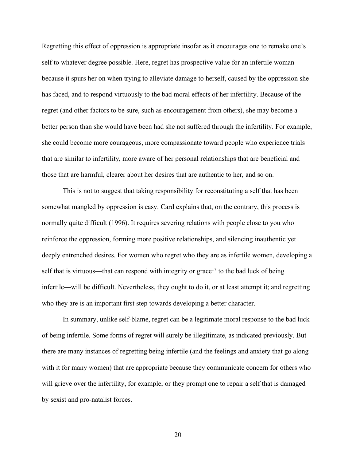Regretting this effect of oppression is appropriate insofar as it encourages one to remake one's self to whatever degree possible. Here, regret has prospective value for an infertile woman because it spurs her on when trying to alleviate damage to herself, caused by the oppression she has faced, and to respond virtuously to the bad moral effects of her infertility. Because of the regret (and other factors to be sure, such as encouragement from others), she may become a better person than she would have been had she not suffered through the infertility. For example, she could become more courageous, more compassionate toward people who experience trials that are similar to infertility, more aware of her personal relationships that are beneficial and those that are harmful, clearer about her desires that are authentic to her, and so on.

This is not to suggest that taking responsibility for reconstituting a self that has been somewhat mangled by oppression is easy. Card explains that, on the contrary, this process is normally quite difficult (1996). It requires severing relations with people close to you who reinforce the oppression, forming more positive relationships, and silencing inauthentic yet deeply entrenched desires. For women who regret who they are as infertile women, developing a self that is virtuous—that can respond with integrity or grace<sup>17</sup> to the bad luck of being infertile—will be difficult. Nevertheless, they ought to do it, or at least attempt it; and regretting who they are is an important first step towards developing a better character.

In summary, unlike self-blame, regret can be a legitimate moral response to the bad luck of being infertile. Some forms of regret will surely be illegitimate, as indicated previously. But there are many instances of regretting being infertile (and the feelings and anxiety that go along with it for many women) that are appropriate because they communicate concern for others who will grieve over the infertility, for example, or they prompt one to repair a self that is damaged by sexist and pro-natalist forces.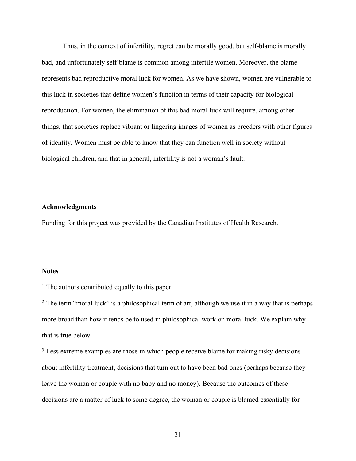Thus, in the context of infertility, regret can be morally good, but self-blame is morally bad, and unfortunately self-blame is common among infertile women. Moreover, the blame represents bad reproductive moral luck for women. As we have shown, women are vulnerable to this luck in societies that define women's function in terms of their capacity for biological reproduction. For women, the elimination of this bad moral luck will require, among other things, that societies replace vibrant or lingering images of women as breeders with other figures of identity. Women must be able to know that they can function well in society without biological children, and that in general, infertility is not a woman's fault.

### **Acknowledgments**

Funding for this project was provided by the Canadian Institutes of Health Research.

#### **Notes**

<sup>1</sup> The authors contributed equally to this paper.

<sup>2</sup> The term "moral luck" is a philosophical term of art, although we use it in a way that is perhaps more broad than how it tends be to used in philosophical work on moral luck. We explain why that is true below.

<sup>3</sup> Less extreme examples are those in which people receive blame for making risky decisions about infertility treatment, decisions that turn out to have been bad ones (perhaps because they leave the woman or couple with no baby and no money). Because the outcomes of these decisions are a matter of luck to some degree, the woman or couple is blamed essentially for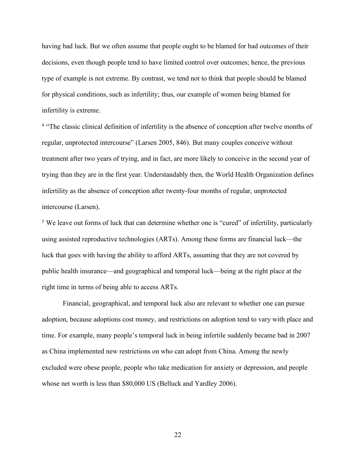having bad luck. But we often assume that people ought to be blamed for bad outcomes of their decisions, even though people tend to have limited control over outcomes; hence, the previous type of example is not extreme. By contrast, we tend not to think that people should be blamed for physical conditions, such as infertility; thus, our example of women being blamed for infertility is extreme.

<sup>4</sup> "The classic clinical definition of infertility is the absence of conception after twelve months of regular, unprotected intercourse" (Larsen 2005, 846). But many couples conceive without treatment after two years of trying, and in fact, are more likely to conceive in the second year of trying than they are in the first year. Understandably then, the World Health Organization defines infertility as the absence of conception after twenty-four months of regular, unprotected intercourse (Larsen).

<sup>5</sup> We leave out forms of luck that can determine whether one is "cured" of infertility, particularly using assisted reproductive technologies (ARTs). Among these forms are financial luck—the luck that goes with having the ability to afford ARTs, assuming that they are not covered by public health insurance—and geographical and temporal luck—being at the right place at the right time in terms of being able to access ARTs.

Financial, geographical, and temporal luck also are relevant to whether one can pursue adoption, because adoptions cost money, and restrictions on adoption tend to vary with place and time. For example, many people's temporal luck in being infertile suddenly became bad in 2007 as China implemented new restrictions on who can adopt from China. Among the newly excluded were obese people, people who take medication for anxiety or depression, and people whose net worth is less than \$80,000 US (Belluck and Yardley 2006).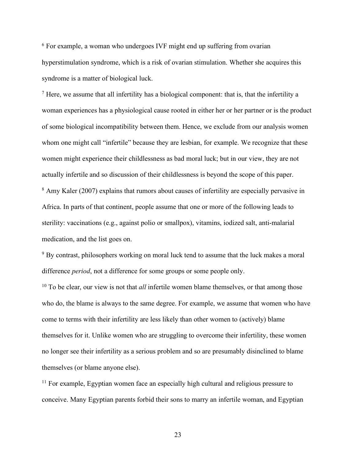<sup>6</sup> For example, a woman who undergoes IVF might end up suffering from ovarian hyperstimulation syndrome, which is a risk of ovarian stimulation. Whether she acquires this syndrome is a matter of biological luck.

 $<sup>7</sup>$  Here, we assume that all infertility has a biological component: that is, that the infertility a</sup> woman experiences has a physiological cause rooted in either her or her partner or is the product of some biological incompatibility between them. Hence, we exclude from our analysis women whom one might call "infertile" because they are lesbian, for example. We recognize that these women might experience their childlessness as bad moral luck; but in our view, they are not actually infertile and so discussion of their childlessness is beyond the scope of this paper. <sup>8</sup> Amy Kaler (2007) explains that rumors about causes of infertility are especially pervasive in Africa. In parts of that continent, people assume that one or more of the following leads to sterility: vaccinations (e.g., against polio or smallpox), vitamins, iodized salt, anti-malarial medication, and the list goes on.

<sup>9</sup> By contrast, philosophers working on moral luck tend to assume that the luck makes a moral difference *period*, not a difference for some groups or some people only.

<sup>10</sup> To be clear, our view is not that *all* infertile women blame themselves, or that among those who do, the blame is always to the same degree. For example, we assume that women who have come to terms with their infertility are less likely than other women to (actively) blame themselves for it. Unlike women who are struggling to overcome their infertility, these women no longer see their infertility as a serious problem and so are presumably disinclined to blame themselves (or blame anyone else).

<sup>11</sup> For example, Egyptian women face an especially high cultural and religious pressure to conceive. Many Egyptian parents forbid their sons to marry an infertile woman, and Egyptian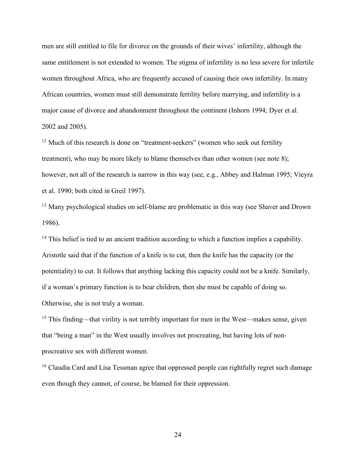men are still entitled to file for divorce on the grounds of their wives' infertility, although the same entitlement is not extended to women. The stigma of infertility is no less severe for infertile women throughout Africa, who are frequently accused of causing their own infertility. In many African countries, women must still demonstrate fertility before marrying, and infertility is a major cause of divorce and abandonment throughout the continent (Inhorn 1994; Dyer et al. 2002 and 2005).

<sup>12</sup> Much of this research is done on "treatment-seekers" (women who seek out fertility treatment), who may be more likely to blame themselves than other women (see note 8); however, not all of the research is narrow in this way (see, e.g., Abbey and Halman 1995; Vieyra et al. 1990; both cited in Greil 1997).

<sup>13</sup> Many psychological studies on self-blame are problematic in this way (see Shaver and Drown 1986).

<sup>14</sup> This belief is tied to an ancient tradition according to which a function implies a capability. Aristotle said that if the function of a knife is to cut, then the knife has the capacity (or the potentiality) to cut. It follows that anything lacking this capacity could not be a knife. Similarly, if a woman's primary function is to bear children, then she must be capable of doing so. Otherwise, she is not truly a woman.

<sup>15</sup> This finding—that virility is not terribly important for men in the West—makes sense, given that "being a man" in the West usually involves not procreating, but having lots of nonprocreative sex with different women.

<sup>16</sup> Claudia Card and Lisa Tessman agree that oppressed people can rightfully regret such damage even though they cannot, of course, be blamed for their oppression.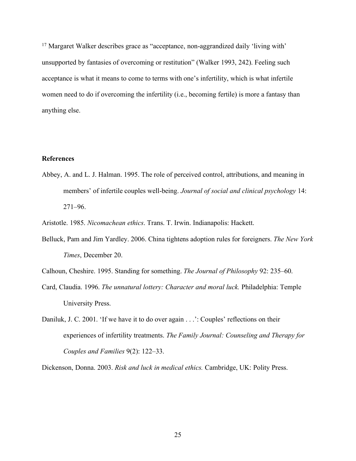<sup>17</sup> Margaret Walker describes grace as "acceptance, non-aggrandized daily 'living with' unsupported by fantasies of overcoming or restitution" (Walker 1993, 242). Feeling such acceptance is what it means to come to terms with one's infertility, which is what infertile women need to do if overcoming the infertility (i.e., becoming fertile) is more a fantasy than anything else.

# **References**

Abbey, A. and L. J. Halman. 1995. The role of perceived control, attributions, and meaning in members' of infertile couples well-being. *Journal of social and clinical psychology* 14: 271–96.

Aristotle. 1985. *Nicomachean ethics*. Trans. T. Irwin. Indianapolis: Hackett.

- Belluck, Pam and Jim Yardley. 2006. China tightens adoption rules for foreigners. *The New York Times*, December 20.
- Calhoun, Cheshire. 1995. Standing for something. *The Journal of Philosophy* 92: 235–60.
- Card, Claudia. 1996. *The unnatural lottery: Character and moral luck.* Philadelphia: Temple University Press.
- Daniluk, J. C. 2001. 'If we have it to do over again . . .': Couples' reflections on their experiences of infertility treatments. *The Family Journal: Counseling and Therapy for Couples and Families* 9(2): 122–33.

Dickenson, Donna. 2003. *Risk and luck in medical ethics.* Cambridge, UK: Polity Press.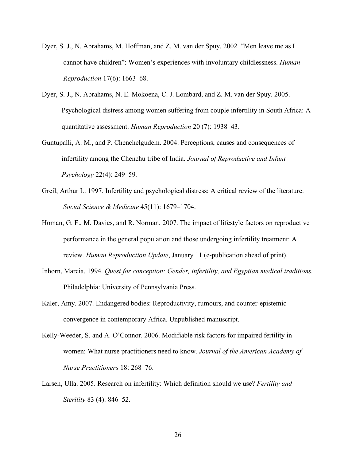- Dyer, S. J., N. Abrahams, M. Hoffman, and Z. M. van der Spuy. 2002. "Men leave me as I cannot have children": Women's experiences with involuntary childlessness. *Human Reproduction* 17(6): 1663–68.
- Dyer, S. J., N. Abrahams, N. E. Mokoena, C. J. Lombard, and Z. M. van der Spuy. 2005. Psychological distress among women suffering from couple infertility in South Africa: A quantitative assessment. *Human Reproduction* 20 (7): 1938–43.
- Guntupalli, A. M., and P. Chenchelgudem. 2004. Perceptions, causes and consequences of infertility among the Chenchu tribe of India. *Journal of Reproductive and Infant Psychology* 22(4): 249–59.
- Greil, Arthur L. 1997. Infertility and psychological distress: A critical review of the literature. *Social Science & Medicine* 45(11): 1679–1704.
- Homan, G. F., M. Davies, and R. Norman. 2007. The impact of lifestyle factors on reproductive performance in the general population and those undergoing infertility treatment: A review. *Human Reproduction Update*, January 11 (e-publication ahead of print).
- Inhorn, Marcia. 1994. *Quest for conception: Gender, infertility, and Egyptian medical traditions.*  Philadelphia: University of Pennsylvania Press.
- Kaler, Amy. 2007. Endangered bodies: Reproductivity, rumours, and counter-epistemic convergence in contemporary Africa. Unpublished manuscript.
- Kelly-Weeder, S. and A. O'Connor. 2006. Modifiable risk factors for impaired fertility in women: What nurse practitioners need to know. *Journal of the American Academy of Nurse Practitioners* 18: 268–76.
- Larsen, Ulla. 2005. Research on infertility: Which definition should we use? *Fertility and Sterility* 83 (4): 846–52.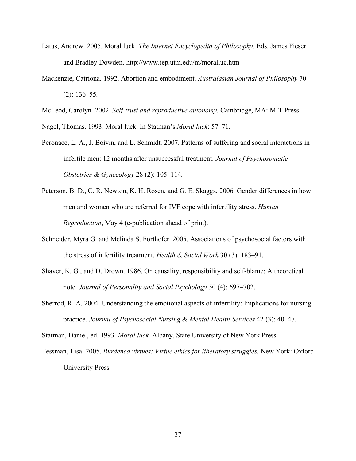- Latus, Andrew. 2005. Moral luck. *The Internet Encyclopedia of Philosophy.* Eds. James Fieser and Bradley Dowden. http://www.iep.utm.edu/m/moralluc.htm
- Mackenzie, Catriona. 1992. Abortion and embodiment. *Australasian Journal of Philosophy* 70 (2): 136–55.

McLeod, Carolyn. 2002. *Self-trust and reproductive autonomy.* Cambridge, MA: MIT Press.

Nagel, Thomas. 1993. Moral luck. In Statman's *Moral luck*: 57–71.

- Peronace, L. A., J. Boivin, and L. Schmidt. 2007. Patterns of suffering and social interactions in infertile men: 12 months after unsuccessful treatment. *Journal of Psychosomatic Obstetrics & Gynecology* 28 (2): 105–114.
- Peterson, B. D., C. R. Newton, K. H. Rosen, and G. E. Skaggs. 2006. Gender differences in how men and women who are referred for IVF cope with infertility stress. *Human Reproduction*, May 4 (e-publication ahead of print).
- Schneider, Myra G. and Melinda S. Forthofer. 2005. Associations of psychosocial factors with the stress of infertility treatment. *Health & Social Work* 30 (3): 183–91.
- Shaver, K. G., and D. Drown. 1986. On causality, responsibility and self-blame: A theoretical note. *Journal of Personality and Social Psychology* 50 (4): 697–702.
- Sherrod, R. A. 2004. Understanding the emotional aspects of infertility: Implications for nursing practice. *Journal of Psychosocial Nursing & Mental Health Services* 42 (3): 40–47.

Statman, Daniel, ed. 1993. *Moral luck.* Albany, State University of New York Press.

Tessman, Lisa. 2005. *Burdened virtues: Virtue ethics for liberatory struggles.* New York: Oxford University Press.